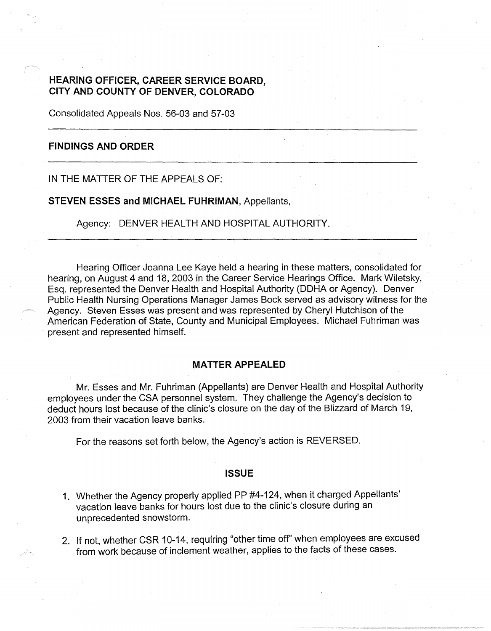## **HEARING OFFICER, CAREER SERVICE BOARD, CITY AND COUNTY OF DENVER, COLORADO**

Consolidated Appeals Nos. 56-03 and 57-03

## **FINDINGS AND ORDER**

IN THE MATTER OF THE APPEALS OF:

**STEVEN ESSES and MICHAEL FUHRIMAN,** Appellants,

Agency: DENVER HEALTH AND HOSPITAL AUTHORITY.

Hearing Officer Joanna Lee Kaye held a hearing in these matters, consolidated for hearing, on August 4 and 18, 2003 in the Career Service Hearings Office. Mark Wiletsky, Esq. represented the Denver Health and Hospital Authority (DOHA or Agency). Denver Public Health Nursing Operations Manager James Bock served as advisory witness for the Agency. Steven Esses was present and was represented by Cheryl Hutchison of the American Federation of State, County and Municipal Employees. Michael Fuhriman was present and represented himself.

#### **MATTER APPEALED**

Mr. Esses and Mr. Fuhriman (Appellants) are Denver Health and Hospital Authority employees under the CSA personnel system. They challenge the Agency's decision to deduct hours lost because of the clinic's closure on the day of the Blizzard of March 19, 2003 from their vacation leave banks.

For the reasons set forth below, the Agency's action is REVERSED.

#### **ISSUE**

- 1. Whether the Agency properly applied PP #4-124, when it charged Appellants' vacation leave banks for hours lost due to the clinic's closure during an unprecedented snowstorm.
- 2. If not, whether CSR 10-14, requiring "other time off' when employees are excused from work because of inclement weather, applies to the facts of these cases.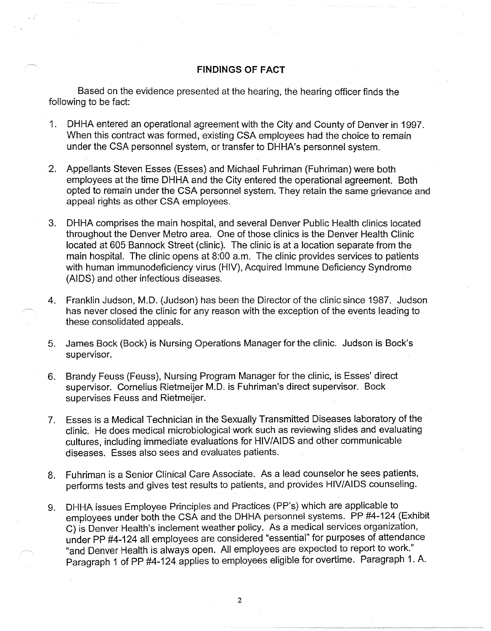## **FINDINGS OF FACT**

Based on the evidence presented at the hearing, the hearing officer finds the following to be fact:

- 1. DHHA entered an operational agreement with the City and County of Denver in 1997. When this contract was formed, existing CSA employees had the choice to remain under the CSA personnel system, or transfer to DHHA's personnel system.
- 2. Appellants Steven Esses (Esses) and Michael Fuhriman (Fuhriman) were both employees at the time DHHA and the City entered the operational agreement. Both opted to remain under the CSA personnel system. They retain the same grievance and appeal rights as other CSA employees.
- 3. DHHA comprises the main hospital, and several Denver Public Health clinics located throughout the Denver Metro area. One of those clinics is the Denver Health Clinic located at 605 Bannock Street (clinic). The clinic is at a location separate from the main hospital. The clinic opens at 8:00 a.m. The clinic provides services to patients with human immunodeficiency virus (HIV), Acquired Immune Deficiency Syndrome (AIDS) and other infectious diseases.
- 4. Franklin Judson, M.D. (Judson) has been the Director of the clinic since 1987. Judson has never closed the clinic for any reason with the exception of the events leading to these consolidated appeals.
- 5. James Bock (Bock) is Nursing Operations Manager for the clinic. Judson is Back's supervisor.
- 6. Brandy Feuss (Feuss), Nursing Program Manager for the clinic, is Esses' direct supervisor. Cornelius Rietmeijer M.D. is Fuhriman's direct supervisor. Bock supervises Feuss and Rietmeijer.
- 7. Esses is a Medical Technician in the Sexually Transmitted Diseases laboratory of the clinic. He does medical microbiological work such as reviewing slides and evaluating cultures, including immediate evaluations for HIV/AIDS and other communicable diseases. Esses also sees and evaluates patients.
- 8. Fuhriman is a Senior Clinical Care Associate. As a lead counselor he sees patients, performs tests and gives test results to patients, and provides HIV/AIDS counseling.
- 9. DHHA issues Employee Principles and Practices (PP's) which are applicable to employees under both the CSA and the DHHA personnel systems. PP #4-124 (Exhibit C) is Denver Health's inclement weather policy. As a medical services organization, under pp #4-124 all employees are considered "essential" for purposes of attendance "and Denver Health is always open. All employees are expected to report to work." Paragraph 1 of PP #4-124 applies to employees eligible for overtime. Paragraph 1. A.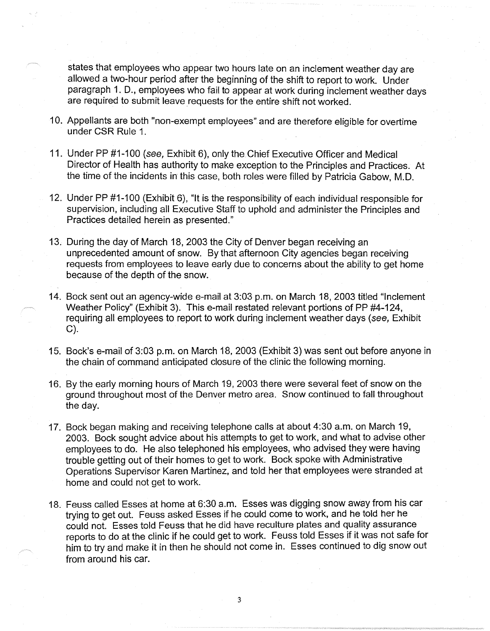states that employees who appear two hours late on an inclement weather day are allowed a two-hour period after the beginning of the shift to report to work. Under paragraph 1. D., employees who fail to appear at work during inclement weather days are required to submit leave requests for the entire shift not worked.

- 10. Appellants are both "non-exempt employees" and are therefore eligible for overtime under CSR Rule 1.
- 11. Under PP #1-100 (see, Exhibit 6), only the Chief Executive Officer and Medical Director of Health has authority to make exception to the Principles and Practices. At the time of the incidents in this case, both roles were filled by Patricia Gabow, M.D.
- 12. Under PP #1-100 (Exhibit 6), "It is the responsibility of each individual responsible for supervision, including all Executive Staff to uphold and administer the Principles and Practices detailed herein as presented."
- 13. During the day of March 18, 2003 the City of Denver began receiving an unprecedented amount of snow. By that afternoon City agencies began receiving requests from employees to leave early due to concerns about the ability to get home because of the depth of the snow.
- 14. Bock sent out an agency-wide e-mail at 3:03 p.m. on March 18, 2003 titled "Inclement Weather Policy" (Exhibit 3). This e-mail restated relevant portions of PP #4-124, requiring all employees to report to work during inclement weather days (see, Exhibit C).
- 15. Back's e-mail of 3:03 p.m. on March 18, 2003 (Exhibit 3) was sent out before anyone in the chain of command anticipated closure of the clinic the following morning.
- 16. By the early morning hours of March 19, 2003 there were several feet of snow on the ground throughout most of the Denver metro area. Snow continued to fall throughout the day.
- 17. Bock began making and receiving telephone calls at about 4:30 a.m. on March 19, 2003. Bock sought advice about his attempts to get to work, and what to advise other employees to do. He also telephoned his employees, who advised they were having trouble getting out of their homes to get to work. Bock spoke with Administrative Operations Supervisor Karen Martinez, and told her that employees were stranded at home and could not get to work.
- 18. Feuss called Esses at home at 6:30 a.m. Esses was digging snow away from his car trying to get out. Feuss asked Esses if he could come to work, and he told her he could not. Esses told Feuss that he did have reculture plates and quality assurance reports to do at the clinic if he could get to work. Feuss told Esses if it was not safe for him to try and make it in then he should not come in. Esses continued to dig snow out from around his car.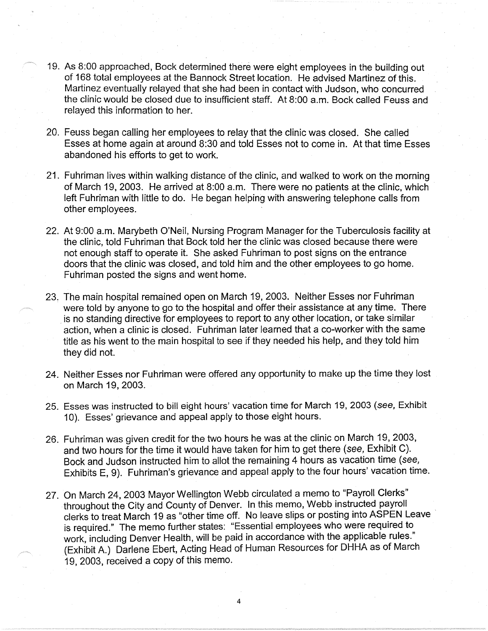- 19. As 8:00 approached, Bock determined there were eight employees in the building out of 168 total employees at the Bannock Street location. He advised Martinez of this. Martinez eventually relayed that she had been in contact with Judson, who concurred the clinic would be closed due to insufficient staff. At 8:00 a.m. Bock called Feuss and relayed this information to her.
- 20. Feuss began calling her employees to relay that the clinic was closed. She called Esses at home again at around 8:30 and told Esses not to come in. At that time Esses abandoned his efforts to get to work.
- 21. Fuhriman lives within walking distance of the clinic, and walked to work on the morning of March 19, 2003. He arrived at 8:00 a.m. There were no patients at the clinic, which left Fuhriman with little to do. He began helping with answering telephone calls from other employees.
- 22. At 9:00 a.m. Marybeth O'Neil, Nursing Program Manager for the Tuberculosis facility at the clinic, told Fuhriman that Bock told her the clinic was closed because there were not enough staff to operate it. She asked Fuhriman to post signs on the entrance doors that the clinic was closed, and told him and the other employees to go home. Fuhriman posted the signs and went home.
- 23. The main hospital remained open on March 19, 2003. Neither Esses nor Fuhriman were told by anyone to go to the hospital and offer their assistance at any time. There is no standing directive for employees to report to any other location, or take similar action, when a clinic is closed. Fuhriman later learned that a co-worker with the same title as his went to the main hospital to see if they needed his help, and they told him they did not.
- 24. Neither Esses nor Fuhriman were offered any opportunity to make up the time they lost on March 19, 2003.
- 25. Esses was instructed to bill eight hours' vacation time for March 19, 2003 (see, Exhibit 10). Esses' grievance and appeal apply to those eight hours.
- 26. Fuhriman was given credit for the two hours he was at the clinic on March 19, 2003, and two hours for the time it would have taken for him to get there (see, Exhibit C). Bock and Judson instructed him to allot the remaining 4 hours as vacation time (see, Exhibits E, 9). Fuhriman's grievance and appeal apply to the four hours' vacation time.
- 27. On March 24, 2003 Mayor Wellington Webb circulated a memo to "Payroll Clerks" throughout the City and County of Denver. In this memo, Webb instructed payroll . clerks to treat March 19 as "other time off. No leave slips or posting into ASPEN Leave is required." The memo further states: "Essential employees who were required to work, including Denver Health, will be paid in accordance with the applicable rules." (Exhibit A.) Darlene Ebert, Acting Head of Human Resources for DHHA as of March 19, 2003, received a copy of this memo.

4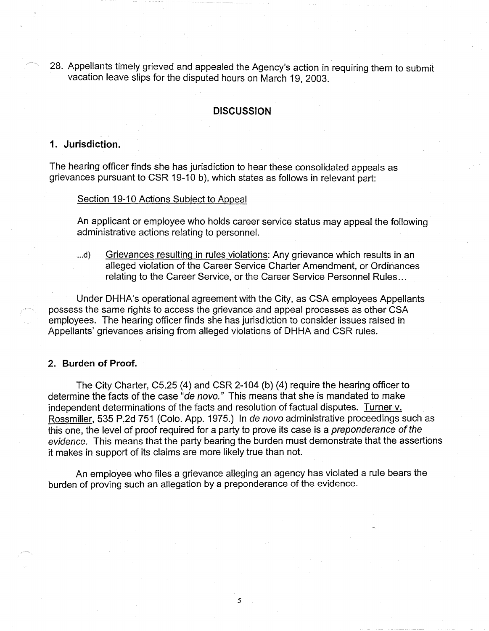28. Appellants timely grieved and appealed the Agency's action in requiring them to submit vacation leave slips for the disputed hours on March 19, 2003.

## **DISCUSSION**

## **1. Jurisdiction.**

The hearing officer finds she has jurisdiction to hear these consolidated appeals as grievances pursuant to CSR 19-10 b), which states as follows in relevant part:

#### Section 19-10 Actions Subject to Appeal

An applicant or employee who holds career service status may appeal the following administrative actions relating to personnel.

...d) Grievances resulting in rules violations: Any grievance which results in an alleged violation of the Career Service Charter Amendment, or Ordinances relating to the Career Service, or the Career Service Personnel Rules ...

Under DHHA's operational agreement with the City, as CSA employees Appellants possess the same rights to access the grievance and appeal processes as other CSA employees. The hearing officer finds she has jurisdiction to consider issues raised in Appellants' grievances arising from alleged violations of DHHA and CSR rules.

#### **2. Burden of Proof.**

The City Charter, C5.25 (4) and CSR 2-104 (b) (4) require the hearing officer to determine the facts of the case "de novo." This means that she is mandated to make independent determinations of the facts and resolution of factual disputes. Turner v. Rossmiller, 535 P.2d 751 (Colo. App. 1975.) In de nova administrative proceedings such as this one, the level of proof required for a party to prove its case is a preponderance of the evidence. This means that the party bearing the burden must demonstrate that the assertions it makes in support of its claims are more likely true than not.

An employee who files a grievance alleging an agency has violated a rule bears the burden of proving such an allegation by a preponderance of the evidence.

5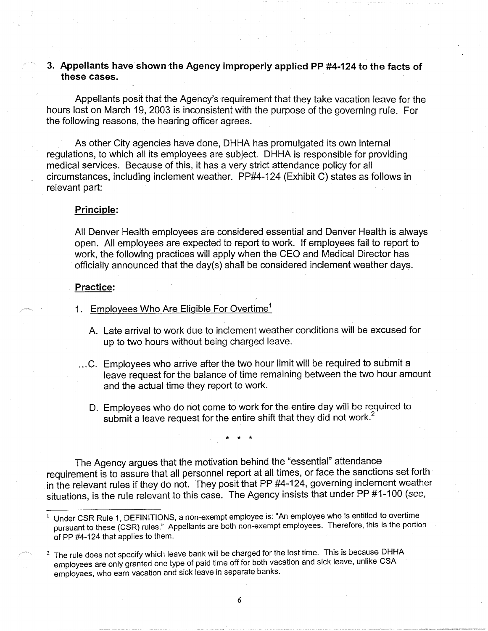# **3. Appellants have shown the Agency improperly applied PP #4-124 to the facts of these cases.**

Appellants posit that the Agency's requirement that they take vacation leave for the hours lost on March 19, 2003 is inconsistent with the purpose of the governing rule. For the following reasons, the hearing officer agrees.

As other City agencies have done, DHHA has promulgated its own internal regulations, to which all its employees are subject. DHHA is responsible for providing medical services. Because of this, it has a very strict attendance policy for all circumstances, including inclement weather. PP#4-124 (Exhibit C) states as follows in relevant part:

#### **Principle:**

All Denver Health employees are considered essential and Denver Health is always open. All employees are expected to report to work. If employees fail to report to work, the following practices will apply when the CEO and Medical Director has officially announced that the day(s) shall be considered inclement weather days.

#### **Practice:**

- 1. Employees Who Are Eligible For Overtime<sup>1</sup>
	- A. Late arrival to work due to inclement weather conditions will be excused for up to two hours without being charged leave .
- ... C. Employees who arrive after the two hour limit will be required to submit a leave request for the balance of time remaining between the two hour amount and the actual time they report to work.
	- D. Employees who do not come to work for the entire day will be required to submit a leave request for the entire shift that they did not work.<sup>2</sup>

\* \* \*

The Agency argues that the motivation behind the "essential" attendance requirement is to assure that all personnel report at all times, or face the sanctions set forth in the relevant rules if they do not. They posit that PP #4-124, governing inclement weather situations, is the rule relevant to this case. The Agency insists that under PP #1-100 (see,

<sup>1</sup>Under CSR Rule 1, DEFINITIONS, a non-exempt employee is: "An employee who is entitled to overtime pursuant to these (CSR) rules." Appellants are both non-exempt employees. Therefore, this is the portion of PP #4-124 that applies to them.

 $<sup>2</sup>$  The rule does not specify which leave bank will be charged for the lost time. This is because DHHA</sup> employees are only granted one type of paid time off for both vacation and sick leave, unlike CSA employees, who earn vacation and sick leave in separate banks.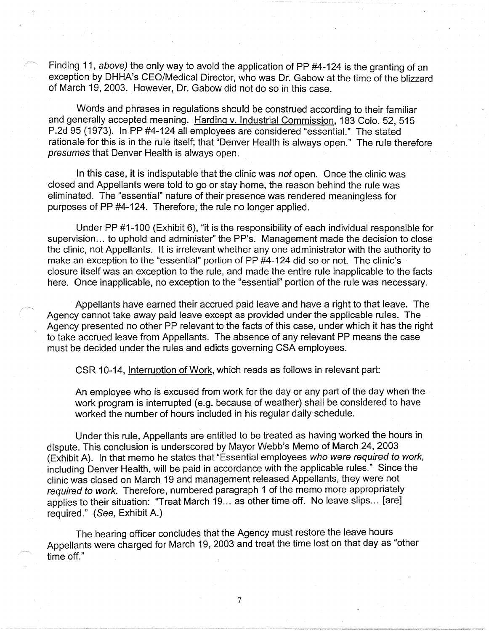Finding 11, above) the only way to avoid the application of PP #4-124 is the granting of an exception by DHHA's CEO/Medical Director, who was Dr. Gabow at the time of the blizzard of March 19, 2003. However, Dr. Gabow did not do so in this case.

Words and phrases in regulations should be construed according to their familiar and generally accepted meaning. Harding v. Industrial Commission, 183 Colo. 52, 515 P.2d 95 (1973). In PP #4-124 all employees are considered "essential." The stated rationale for this is in the rule itself; that "Denver Health is always open." The rule therefore presumes that Denver Health is always open.

In this case, it is indisputable that the clinic was not open. Once the clinic was closed and Appellants were told to go or stay home, the reason behind the rule was eliminated. The "essential" nature of their presence was rendered meaningless for purposes of PP #4-124. Therefore, the rule no longer applied.

Under PP #1-100 (Exhibit 6), "it is the responsibility of each individual responsible for supervision... to uphold and administer" the PP's. Management made the decision to close the clinic, not Appellants. It is irrelevant whether any one administrator with the authority to make an exception to the "essential" portion of PP #4-124 did so or not. The clinic's closure itself was an exception to the rule, and made the entire rule inapplicable to the facts here. Once inapplicable, no exception to the "essential" portion of the rule was necessary.

Appellants have earned their accrued paid leave and have a right to that leave. The Agency cannot take away paid leave except as provided under the applicable rules. The Agency presented no other PP relevant to the facts of this case, under which it has the right to take accrued leave from Appellants. The absence of any relevant PP means the case must be decided under the rules and edicts governing CSA employees.

CSR 10-14, Interruption of Work, which reads as follows in relevant part:

An employee who is excused from work for the day or any part of the day when the work program is interrupted (e.g. because of weather) shall be considered to have worked the number of hours included in his regular daily schedule.

Under this rule, Appellants are entitled to be treated as having worked the hours in dispute. This conclusion is underscored by Mayor Webb's Memo of March 24, 2003 (Exhibit A). In that memo he states that "Essential employees who were required to work, including Denver Health, will be paid in accordance with the applicable rules." Since the clinic was closed on March 19 and management released Appellants, they were not required to work. Therefore, numbered paragraph 1 of the memo more appropriately applies to their situation: "Treat March 19... as other time off. No leave slips... [are] required." (See, Exhibit A.)

The hearing officer concludes that the Agency must restore the leave hours Appellants were charged for March 19, 2003 and treat the time lost on that day as "other time off."

7